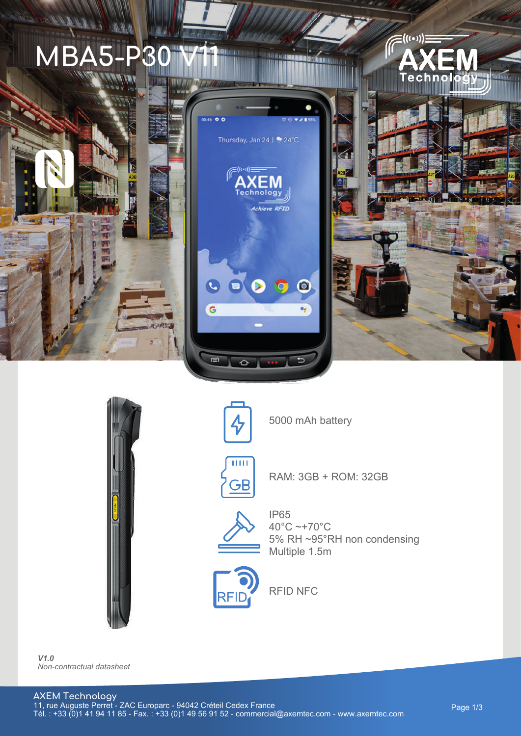



**COMMUNISTIC** 







5000 mAh battery



RAM: 3GB + ROM: 32GB



IP65 40°C ~+70°C 5% RH ~95°RH non condensing Multiple 1.5m



RFID NFC

*V1.0 Non-contractual datasheet*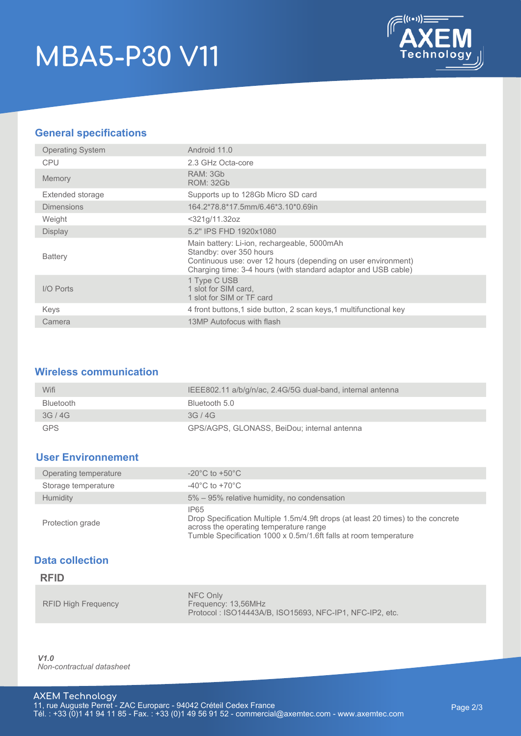# **MBA5-P30 V11**



## **General specifications**

| <b>Operating System</b> | Android 11.0                                                                                                                                                                                              |  |  |  |
|-------------------------|-----------------------------------------------------------------------------------------------------------------------------------------------------------------------------------------------------------|--|--|--|
| <b>CPU</b>              | 2.3 GHz Octa-core                                                                                                                                                                                         |  |  |  |
| <b>Memory</b>           | RAM: 3Gb<br><b>ROM: 32Gb</b>                                                                                                                                                                              |  |  |  |
| Extended storage        | Supports up to 128Gb Micro SD card                                                                                                                                                                        |  |  |  |
| <b>Dimensions</b>       | 164.2*78.8*17.5mm/6.46*3.10*0.69in                                                                                                                                                                        |  |  |  |
| Weight                  | <321g/11.32oz                                                                                                                                                                                             |  |  |  |
| <b>Display</b>          | 5.2" IPS FHD 1920x1080                                                                                                                                                                                    |  |  |  |
| <b>Battery</b>          | Main battery: Li-ion, rechargeable, 5000mAh<br>Standby: over 350 hours<br>Continuous use: over 12 hours (depending on user environment)<br>Charging time: 3-4 hours (with standard adaptor and USB cable) |  |  |  |
| I/O Ports               | 1 Type C USB<br>1 slot for SIM card,<br>1 slot for SIM or TF card                                                                                                                                         |  |  |  |
| Keys                    | 4 front buttons, 1 side button, 2 scan keys, 1 multifunctional key                                                                                                                                        |  |  |  |
| Camera                  | 13MP Autofocus with flash                                                                                                                                                                                 |  |  |  |

#### **Wireless communication**

| Wifi             | IEEE802.11 a/b/g/n/ac, 2.4G/5G dual-band, internal antenna |
|------------------|------------------------------------------------------------|
| <b>Bluetooth</b> | Bluetooth 5.0                                              |
| 3G/4G            | 3G/4G                                                      |
| <b>GPS</b>       | GPS/AGPS, GLONASS, BeiDou; internal antenna                |

### **User Environnement**

| Operating temperature | $-20^{\circ}$ C to $+50^{\circ}$ C                                                                                                                                                                     |  |  |
|-----------------------|--------------------------------------------------------------------------------------------------------------------------------------------------------------------------------------------------------|--|--|
| Storage temperature   | $-40^{\circ}$ C to $+70^{\circ}$ C                                                                                                                                                                     |  |  |
| <b>Humidity</b>       | 5% – 95% relative humidity, no condensation                                                                                                                                                            |  |  |
| Protection grade      | IP65<br>Drop Specification Multiple 1.5m/4.9ft drops (at least 20 times) to the concrete<br>across the operating temperature range<br>Tumble Specification 1000 x 0.5m/1.6ft falls at room temperature |  |  |

### **Data collection**

#### **RFID**

|                            | NFC Only                                                |
|----------------------------|---------------------------------------------------------|
| <b>RFID High Frequency</b> | Frequency: 13.56MHz                                     |
|                            | Protocol: ISO14443A/B. ISO15693. NFC-IP1. NFC-IP2. etc. |